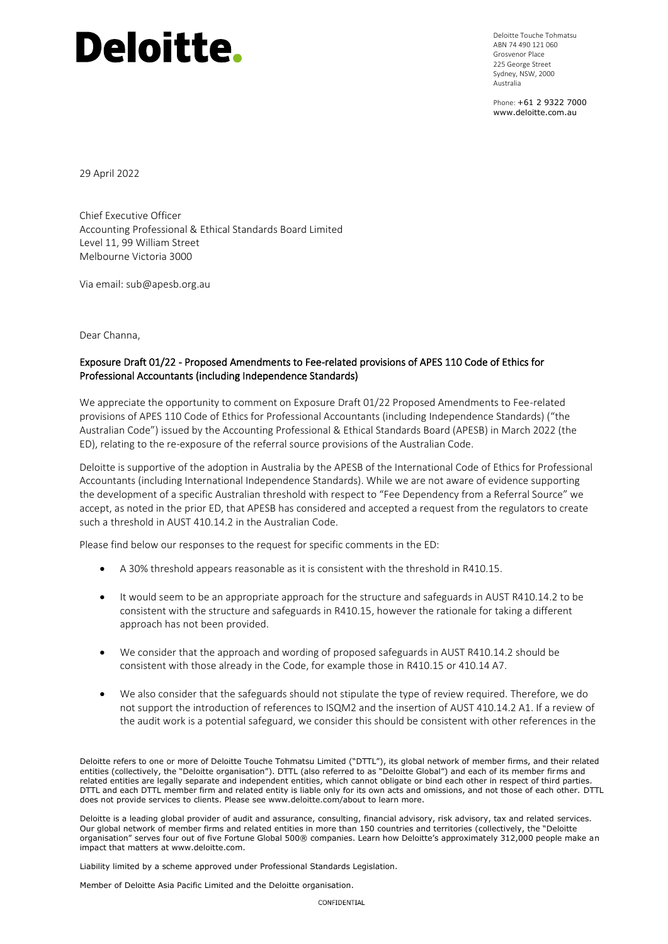## **Deloitte.**

Deloitte Touche Tohmatsu ABN 74 490 121 060 Grosvenor Place 225 George Street Sydney, NSW, 2000 Australia

Phone: +61 2 9322 7000 www.deloitte.com.au

29 April 2022

Chief Executive Officer Accounting Professional & Ethical Standards Board Limited Level 11, 99 William Street Melbourne Victoria 3000

Via email: sub@apesb.org.au

Dear Channa,

## Exposure Draft 01/22 - Proposed Amendments to Fee-related provisions of APES 110 Code of Ethics for Professional Accountants (including Independence Standards)

We appreciate the opportunity to comment on Exposure Draft 01/22 Proposed Amendments to Fee-related provisions of APES 110 Code of Ethics for Professional Accountants (including Independence Standards) ("the Australian Code") issued by the Accounting Professional & Ethical Standards Board (APESB) in March 2022 (the ED), relating to the re-exposure of the referral source provisions of the Australian Code.

Deloitte is supportive of the adoption in Australia by the APESB of the International Code of Ethics for Professional Accountants (including International Independence Standards). While we are not aware of evidence supporting the development of a specific Australian threshold with respect to "Fee Dependency from a Referral Source" we accept, as noted in the prior ED, that APESB has considered and accepted a request from the regulators to create such a threshold in AUST 410.14.2 in the Australian Code.

Please find below our responses to the request for specific comments in the ED:

- A 30% threshold appears reasonable as it is consistent with the threshold in R410.15.
- It would seem to be an appropriate approach for the structure and safeguards in AUST R410.14.2 to be consistent with the structure and safeguards in R410.15, however the rationale for taking a different approach has not been provided.
- We consider that the approach and wording of proposed safeguards in AUST R410.14.2 should be consistent with those already in the Code, for example those in R410.15 or 410.14 A7.
- We also consider that the safeguards should not stipulate the type of review required. Therefore, we do not support the introduction of references to ISQM2 and the insertion of AUST 410.14.2 A1. If a review of the audit work is a potential safeguard, we consider this should be consistent with other references in the

Deloitte refers to one or more of Deloitte Touche Tohmatsu Limited ("DTTL"), its global network of member firms, and their related entities (collectively, the "Deloitte organisation"). DTTL (also referred to as "Deloitte Global") and each of its member firms and related entities are legally separate and independent entities, which cannot obligate or bind each other in respect of third parties. DTTL and each DTTL member firm and related entity is liable only for its own acts and omissions, and not those of each other. DTTL does not provide services to clients. Please see www.deloitte.com/about to learn more.

Deloitte is a leading global provider of audit and assurance, consulting, financial advisory, risk advisory, tax and related services. Our global network of member firms and related entities in more than 150 countries and territories (collectively, the "Deloitte organisation" serves four out of five Fortune Global 500® companies. Learn how Deloitte's approximately 312,000 people make an impact that matters at www.deloitte.com.

Liability limited by a scheme approved under Professional Standards Legislation.

Member of Deloitte Asia Pacific Limited and the Deloitte organisation.